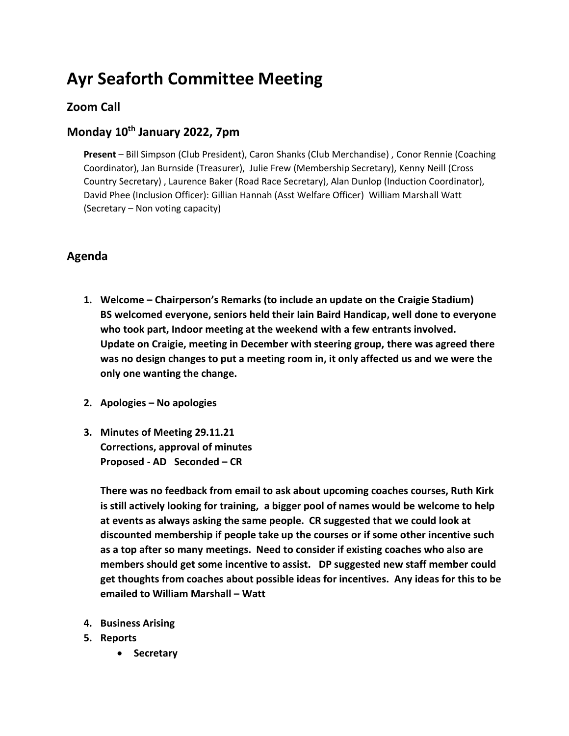# **Ayr Seaforth Committee Meeting**

### **Zoom Call**

## **Monday 10th January 2022, 7pm**

**Present** – Bill Simpson (Club President), Caron Shanks (Club Merchandise) , Conor Rennie (Coaching Coordinator), Jan Burnside (Treasurer), Julie Frew (Membership Secretary), Kenny Neill (Cross Country Secretary) , Laurence Baker (Road Race Secretary), Alan Dunlop (Induction Coordinator), David Phee (Inclusion Officer): Gillian Hannah (Asst Welfare Officer) William Marshall Watt (Secretary – Non voting capacity)

#### **Agenda**

- **1. Welcome – Chairperson's Remarks (to include an update on the Craigie Stadium) BS welcomed everyone, seniors held their Iain Baird Handicap, well done to everyone who took part, Indoor meeting at the weekend with a few entrants involved. Update on Craigie, meeting in December with steering group, there was agreed there was no design changes to put a meeting room in, it only affected us and we were the only one wanting the change.**
- **2. Apologies – No apologies**
- **3. Minutes of Meeting 29.11.21 Corrections, approval of minutes Proposed - AD Seconded – CR**

**There was no feedback from email to ask about upcoming coaches courses, Ruth Kirk is still actively looking for training, a bigger pool of names would be welcome to help at events as always asking the same people. CR suggested that we could look at discounted membership if people take up the courses or if some other incentive such as a top after so many meetings. Need to consider if existing coaches who also are members should get some incentive to assist. DP suggested new staff member could get thoughts from coaches about possible ideas for incentives. Any ideas for this to be emailed to William Marshall – Watt**

- **4. Business Arising**
- **5. Reports**
	- **Secretary**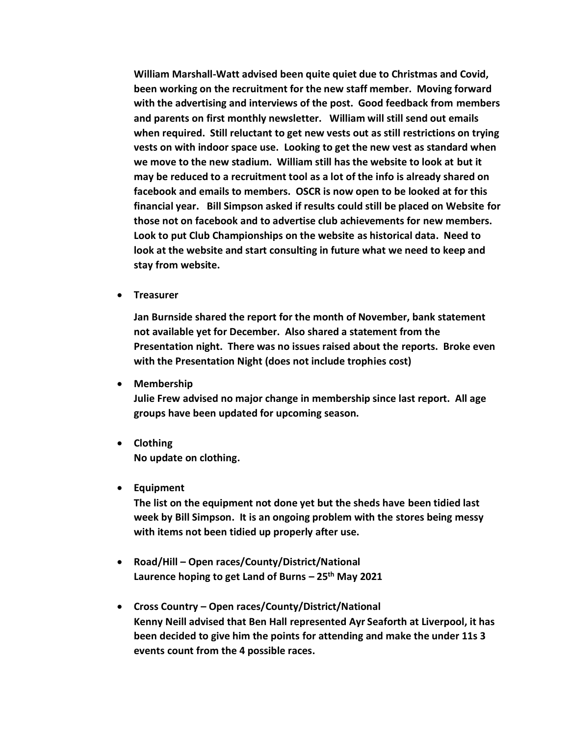**William Marshall-Watt advised been quite quiet due to Christmas and Covid, been working on the recruitment for the new staff member. Moving forward with the advertising and interviews of the post. Good feedback from members and parents on first monthly newsletter. William will still send out emails when required. Still reluctant to get new vests out as still restrictions on trying vests on with indoor space use. Looking to get the new vest as standard when we move to the new stadium. William still has the website to look at but it may be reduced to a recruitment tool as a lot of the info is already shared on facebook and emails to members. OSCR is now open to be looked at for this financial year. Bill Simpson asked if results could still be placed on Website for those not on facebook and to advertise club achievements for new members. Look to put Club Championships on the website as historical data. Need to look at the website and start consulting in future what we need to keep and stay from website.**

• **Treasurer**

**Jan Burnside shared the report for the month of November, bank statement not available yet for December. Also shared a statement from the Presentation night. There was no issues raised about the reports. Broke even with the Presentation Night (does not include trophies cost)** 

• **Membership**

**Julie Frew advised no major change in membership since last report. All age groups have been updated for upcoming season.** 

• **Clothing No update on clothing.** 

#### • **Equipment**

**The list on the equipment not done yet but the sheds have been tidied last week by Bill Simpson. It is an ongoing problem with the stores being messy with items not been tidied up properly after use.** 

- **Road/Hill – Open races/County/District/National Laurence hoping to get Land of Burns – 25th May 2021**
- **Cross Country – Open races/County/District/National Kenny Neill advised that Ben Hall represented Ayr Seaforth at Liverpool, it has been decided to give him the points for attending and make the under 11s 3 events count from the 4 possible races.**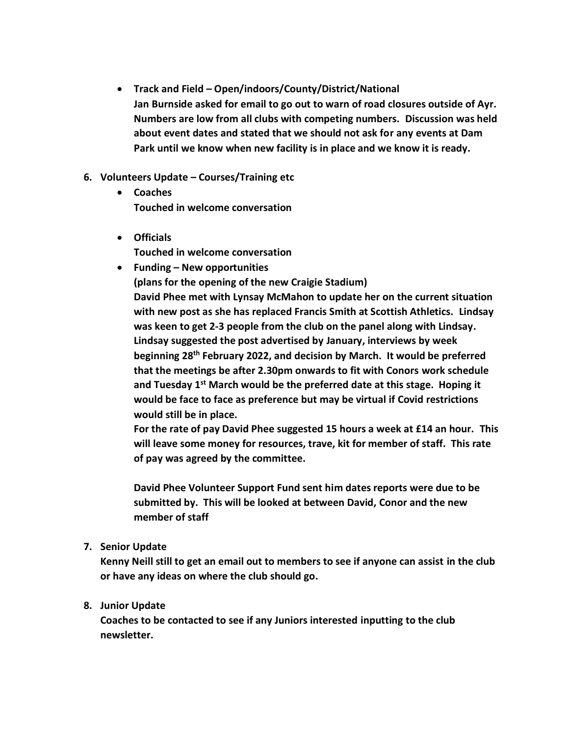- **Track and Field – Open/indoors/County/District/National Jan Burnside asked for email to go out to warn of road closures outside of Ayr. Numbers are low from all clubs with competing numbers. Discussion was held about event dates and stated that we should not ask for any events at Dam Park until we know when new facility is in place and we know it is ready.**
- **6. Volunteers Update – Courses/Training etc**
	- **Coaches Touched in welcome conversation**
	- **Officials Touched in welcome conversation**
	- **Funding – New opportunities (plans for the opening of the new Craigie Stadium) David Phee met with Lynsay McMahon to update her on the current situation with new post as she has replaced Francis Smith at Scottish Athletics. Lindsay was keen to get 2-3 people from the club on the panel along with Lindsay. Lindsay suggested the post advertised by January, interviews by week beginning 28th February 2022, and decision by March. It would be preferred that the meetings be after 2.30pm onwards to fit with Conors work schedule and Tuesday 1st March would be the preferred date at this stage. Hoping it would be face to face as preference but may be virtual if Covid restrictions would still be in place.**

**For the rate of pay David Phee suggested 15 hours a week at £14 an hour. This will leave some money for resources, trave, kit for member of staff. This rate of pay was agreed by the committee.**

**David Phee Volunteer Support Fund sent him dates reports were due to be submitted by. This will be looked at between David, Conor and the new member of staff**

**7. Senior Update**

**Kenny Neill still to get an email out to members to see if anyone can assist in the club or have any ideas on where the club should go.**

#### **8. Junior Update**

**Coaches to be contacted to see if any Juniors interested inputting to the club newsletter.**